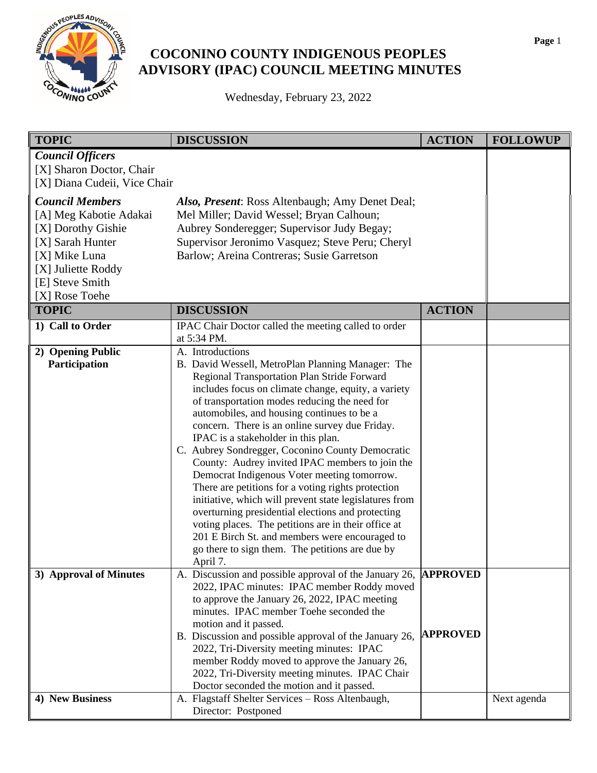

## **COCONINO COUNTY INDIGENOUS PEOPLES ADVISORY (IPAC) COUNCIL MEETING MINUTES**

Wednesday, February 23, 2022

| <b>TOPIC</b>                                                                                                                                                           | <b>DISCUSSION</b>                                                                                                                                                                                                                                                                                                                                                                                                                                                                                                                                                                                                                                                                                                                                                                                                                                                      | <b>ACTION</b>   | <b>FOLLOWUP</b> |
|------------------------------------------------------------------------------------------------------------------------------------------------------------------------|------------------------------------------------------------------------------------------------------------------------------------------------------------------------------------------------------------------------------------------------------------------------------------------------------------------------------------------------------------------------------------------------------------------------------------------------------------------------------------------------------------------------------------------------------------------------------------------------------------------------------------------------------------------------------------------------------------------------------------------------------------------------------------------------------------------------------------------------------------------------|-----------------|-----------------|
| <b>Council Officers</b><br>[X] Sharon Doctor, Chair<br>[X] Diana Cudeii, Vice Chair                                                                                    |                                                                                                                                                                                                                                                                                                                                                                                                                                                                                                                                                                                                                                                                                                                                                                                                                                                                        |                 |                 |
| <b>Council Members</b><br>[A] Meg Kabotie Adakai<br>[X] Dorothy Gishie<br>[X] Sarah Hunter<br>[X] Mike Luna<br>[X] Juliette Roddy<br>[E] Steve Smith<br>[X] Rose Toehe | Also, Present: Ross Altenbaugh; Amy Denet Deal;<br>Mel Miller; David Wessel; Bryan Calhoun;<br>Aubrey Sonderegger; Supervisor Judy Begay;<br>Supervisor Jeronimo Vasquez; Steve Peru; Cheryl<br>Barlow; Areina Contreras; Susie Garretson                                                                                                                                                                                                                                                                                                                                                                                                                                                                                                                                                                                                                              |                 |                 |
| <b>TOPIC</b>                                                                                                                                                           | <b>DISCUSSION</b>                                                                                                                                                                                                                                                                                                                                                                                                                                                                                                                                                                                                                                                                                                                                                                                                                                                      | <b>ACTION</b>   |                 |
| 1) Call to Order                                                                                                                                                       | IPAC Chair Doctor called the meeting called to order<br>at 5:34 PM.                                                                                                                                                                                                                                                                                                                                                                                                                                                                                                                                                                                                                                                                                                                                                                                                    |                 |                 |
| 2) Opening Public<br>Participation                                                                                                                                     | A. Introductions<br>B. David Wessell, MetroPlan Planning Manager: The<br>Regional Transportation Plan Stride Forward<br>includes focus on climate change, equity, a variety<br>of transportation modes reducing the need for<br>automobiles, and housing continues to be a<br>concern. There is an online survey due Friday.<br>IPAC is a stakeholder in this plan.<br>C. Aubrey Sondregger, Coconino County Democratic<br>County: Audrey invited IPAC members to join the<br>Democrat Indigenous Voter meeting tomorrow.<br>There are petitions for a voting rights protection<br>initiative, which will prevent state legislatures from<br>overturning presidential elections and protecting<br>voting places. The petitions are in their office at<br>201 E Birch St. and members were encouraged to<br>go there to sign them. The petitions are due by<br>April 7. |                 |                 |
| 3) Approval of Minutes                                                                                                                                                 | A. Discussion and possible approval of the January 26, <b>APPROVED</b><br>2022, IPAC minutes: IPAC member Roddy moved<br>to approve the January 26, 2022, IPAC meeting<br>minutes. IPAC member Toehe seconded the<br>motion and it passed.<br>B. Discussion and possible approval of the January 26,<br>2022, Tri-Diversity meeting minutes: IPAC<br>member Roddy moved to approve the January 26,<br>2022, Tri-Diversity meeting minutes. IPAC Chair<br>Doctor seconded the motion and it passed.                                                                                                                                                                                                                                                                                                                                                                     | <b>APPROVED</b> |                 |
| 4) New Business                                                                                                                                                        | A. Flagstaff Shelter Services - Ross Altenbaugh,<br>Director: Postponed                                                                                                                                                                                                                                                                                                                                                                                                                                                                                                                                                                                                                                                                                                                                                                                                |                 | Next agenda     |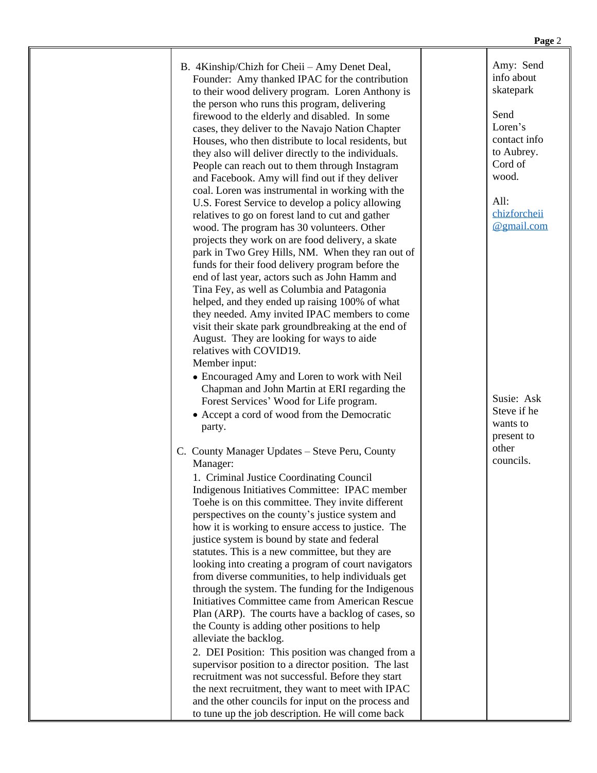| B. 4Kinship/Chizh for Cheii - Amy Denet Deal,       |
|-----------------------------------------------------|
| Founder: Amy thanked IPAC for the contribution      |
| to their wood delivery program. Loren Anthony is    |
| the person who runs this program, delivering        |
| firewood to the elderly and disabled. In some       |
| cases, they deliver to the Navajo Nation Chapter    |
| Houses, who then distribute to local residents, but |
| they also will deliver directly to the individuals. |
| People can reach out to them through Instagram      |
| and Facebook. Amy will find out if they deliver     |
| coal. Loren was instrumental in working with the    |
| U.S. Forest Service to develop a policy allowing    |
| relatives to go on forest land to cut and gather    |
| wood. The program has 30 volunteers. Other          |
| projects they work on are food delivery, a skate    |
| park in Two Grey Hills, NM. When they ran out of    |
| funds for their food delivery program before the    |
| end of last year, actors such as John Hamm and      |
| Tina Fey, as well as Columbia and Patagonia         |
| helped, and they ended up raising 100% of what      |
| they needed. Amy invited IPAC members to come       |
| visit their skate park groundbreaking at the end of |
| August. They are looking for ways to aide           |
| relatives with COVID19.                             |
| Member input:                                       |

- Encouraged Amy and Loren to work with Neil Chapman and John Martin at ERI regarding the Forest Services' Wood for Life program.
- Accept a cord of wood from the Democratic party.
- C. County Manager Updates Steve Peru, County Manager:

 1. Criminal Justice Coordinating Council Indigenous Initiatives Committee: IPAC member Toehe is on this committee. They invite different perspectives on the county's justice system and how it is working to ensure access to justice. The justice system is bound by state and federal statutes. This is a new committee, but they are looking into creating a program of court navigators from diverse communities, to help individuals get through the system. The funding for the Indigenous Initiatives Committee came from American Rescue Plan (ARP). The courts have a backlog of cases, so the County is adding other positions to help alleviate the backlog. 2. DEI Position: This position was changed from a supervisor position to a director position. The last recruitment was not successful. Before they start

the next recruitment, they want to meet with IPAC and the other councils for input on the process and to tune up the job description. He will come back

Amy: Send info about skatepark

Send Loren's contact info to Aubrey. Cord of wood.

All: [chizforcheii](mailto:chizforcheii@gmail.com) @gmail.com

Susie: Ask Steve if he wants to present to other councils.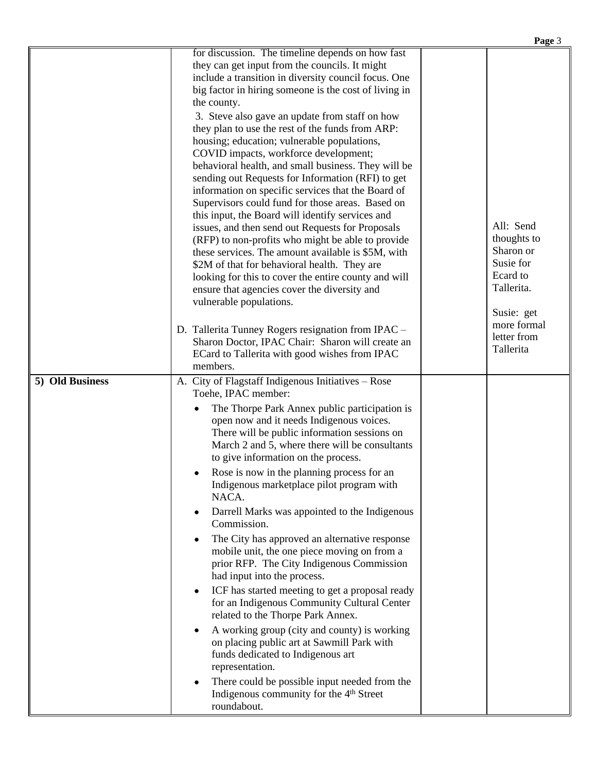|                 |                                                                                                          | Page 3                     |
|-----------------|----------------------------------------------------------------------------------------------------------|----------------------------|
|                 | for discussion. The timeline depends on how fast                                                         |                            |
|                 | they can get input from the councils. It might                                                           |                            |
|                 | include a transition in diversity council focus. One                                                     |                            |
|                 | big factor in hiring someone is the cost of living in                                                    |                            |
|                 | the county.                                                                                              |                            |
|                 | 3. Steve also gave an update from staff on how                                                           |                            |
|                 | they plan to use the rest of the funds from ARP:                                                         |                            |
|                 | housing; education; vulnerable populations,                                                              |                            |
|                 | COVID impacts, workforce development;                                                                    |                            |
|                 | behavioral health, and small business. They will be<br>sending out Requests for Information (RFI) to get |                            |
|                 | information on specific services that the Board of                                                       |                            |
|                 | Supervisors could fund for those areas. Based on                                                         |                            |
|                 | this input, the Board will identify services and                                                         |                            |
|                 | issues, and then send out Requests for Proposals                                                         | All: Send                  |
|                 | (RFP) to non-profits who might be able to provide                                                        | thoughts to                |
|                 | these services. The amount available is \$5M, with                                                       | Sharon or                  |
|                 | \$2M of that for behavioral health. They are                                                             | Susie for                  |
|                 | looking for this to cover the entire county and will                                                     | Ecard to                   |
|                 | ensure that agencies cover the diversity and                                                             | Tallerita.                 |
|                 | vulnerable populations.                                                                                  |                            |
|                 |                                                                                                          | Susie: get                 |
|                 | D. Tallerita Tunney Rogers resignation from IPAC -                                                       | more formal<br>letter from |
|                 | Sharon Doctor, IPAC Chair: Sharon will create an                                                         | Tallerita                  |
|                 | ECard to Tallerita with good wishes from IPAC                                                            |                            |
|                 | members.                                                                                                 |                            |
| 5) Old Business | A. City of Flagstaff Indigenous Initiatives - Rose                                                       |                            |
|                 | Toehe, IPAC member:                                                                                      |                            |
|                 | The Thorpe Park Annex public participation is                                                            |                            |
|                 | open now and it needs Indigenous voices.                                                                 |                            |
|                 | There will be public information sessions on<br>March 2 and 5, where there will be consultants           |                            |
|                 | to give information on the process.                                                                      |                            |
|                 |                                                                                                          |                            |
|                 | Rose is now in the planning process for an<br>Indigenous marketplace pilot program with                  |                            |
|                 | NACA.                                                                                                    |                            |
|                 | Darrell Marks was appointed to the Indigenous                                                            |                            |
|                 | Commission.                                                                                              |                            |
|                 | The City has approved an alternative response                                                            |                            |
|                 | mobile unit, the one piece moving on from a                                                              |                            |
|                 | prior RFP. The City Indigenous Commission                                                                |                            |
|                 | had input into the process.                                                                              |                            |
|                 | ICF has started meeting to get a proposal ready                                                          |                            |
|                 | for an Indigenous Community Cultural Center                                                              |                            |
|                 | related to the Thorpe Park Annex.                                                                        |                            |
|                 | A working group (city and county) is working                                                             |                            |
|                 | on placing public art at Sawmill Park with                                                               |                            |
|                 | funds dedicated to Indigenous art                                                                        |                            |
|                 | representation.                                                                                          |                            |
|                 | There could be possible input needed from the                                                            |                            |
|                 | Indigenous community for the 4 <sup>th</sup> Street                                                      |                            |
|                 | roundabout.                                                                                              |                            |